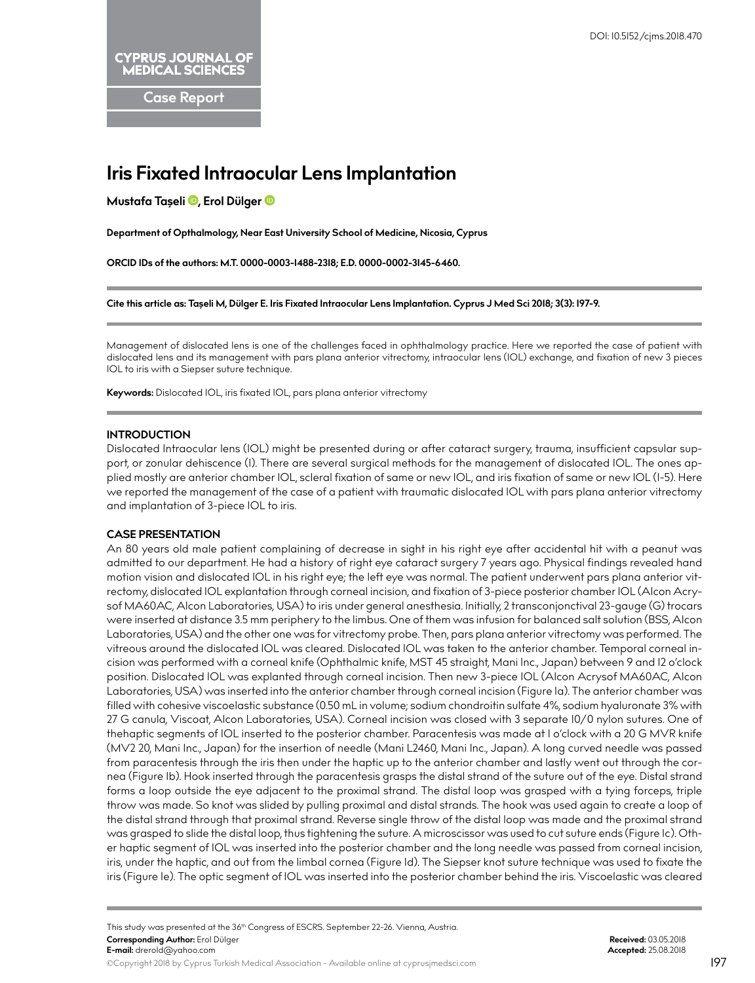**CYPRUS JOURNAL OF MEDICAL SCIENCES** 

**Case Report**

# **Iris Fixated Intraocular Lens Implantation**

**Mustafa Taşeli [,](http://orcid.org/0000-0003-1488-2318) Erol Dülge[r](http://orcid.org/0000-0002-3145-6460)** 

**Department of Opthalmology, Near East University School of Medicine, Nicosia, Cyprus**

**ORCID IDs of the authors: M.T. 0000-0003-1488-2318; E.D. 0000-0002-3145-6460.**

**Cite this article as: Taşeli M, Dülger E. Iris Fixated Intraocular Lens Implantation. Cyprus J Med Sci 2018; 3(3): 197-9.**

Management of dislocated lens is one of the challenges faced in ophthalmology practice. Here we reported the case of patient with dislocated lens and its management with pars plana anterior vitrectomy, intraocular lens (IOL) exchange, and fixation of new 3 pieces IOL to iris with a Siepser suture technique.

**Keywords:** Dislocated IOL, iris fixated IOL, pars plana anterior vitrectomy

## **INTRODUCTION**

Dislocated Intraocular lens (IOL) might be presented during or after cataract surgery, trauma, insufficient capsular support, or zonular dehiscence (1). There are several surgical methods for the management of dislocated IOL. The ones applied mostly are anterior chamber IOL, scleral fixation of same or new IOL, and iris fixation of same or new IOL (1-5). Here we reported the management of the case of a patient with traumatic dislocated IOL with pars plana anterior vitrectomy and implantation of 3-piece IOL to iris.

#### **CASE PRESENTATION**

An 80 years old male patient complaining of decrease in sight in his right eye after accidental hit with a peanut was admitted to our department. He had a history of right eye cataract surgery 7 years ago. Physical findings revealed hand motion vision and dislocated IOL in his right eye; the left eye was normal. The patient underwent pars plana anterior vitrectomy, dislocated IOL explantation through corneal incision, and fixation of 3-piece posterior chamber IOL (Alcon Acrysof MA60AC, Alcon Laboratories, USA) to iris under general anesthesia. Initially, 2 transconjonctival 23-gauge (G) trocars were inserted at distance 3.5 mm periphery to the limbus. One of them was infusion for balanced salt solution (BSS, Alcon Laboratories, USA) and the other one was for vitrectomy probe. Then, pars plana anterior vitrectomy was performed. The vitreous around the dislocated IOL was cleared. Dislocated IOL was taken to the anterior chamber. Temporal corneal incision was performed with a corneal knife (Ophthalmic knife, MST 45 straight, Mani Inc., Japan) between 9 and 12 o'clock position. Dislocated IOL was explanted through corneal incision. Then new 3-piece IOL (Alcon Acrysof MA60AC, Alcon Laboratories, USA) was inserted into the anterior chamber through corneal incision (Figure 1a). The anterior chamber was filled with cohesive viscoelastic substance (0.50 mL in volume; sodium chondroitin sulfate 4%, sodium hyaluronate 3% with 27 G canula, Viscoat, Alcon Laboratories, USA). Corneal incision was closed with 3 separate 10/0 nylon sutures. One of thehaptic segments of IOL inserted to the posterior chamber. Paracentesis was made at 1 o'clock with a 20 G MVR knife (MV2 20, Mani Inc., Japan) for the insertion of needle (Mani L2460, Mani Inc., Japan). A long curved needle was passed from paracentesis through the iris then under the haptic up to the anterior chamber and lastly went out through the cornea (Figure 1b). Hook inserted through the paracentesis grasps the distal strand of the suture out of the eye. Distal strand forms a loop outside the eye adjacent to the proximal strand. The distal loop was grasped with a tying forceps, triple throw was made. So knot was slided by pulling proximal and distal strands. The hook was used again to create a loop of the distal strand through that proximal strand. Reverse single throw of the distal loop was made and the proximal strand was grasped to slide the distal loop, thus tightening the suture. A microscissor was used to cut suture ends (Figure 1c). Other haptic segment of IOL was inserted into the posterior chamber and the long needle was passed from corneal incision, iris, under the haptic, and out from the limbal cornea (Figure 1d). The Siepser knot suture technique was used to fixate the iris (Figure 1e). The optic segment of IOL was inserted into the posterior chamber behind the iris. Viscoelastic was cleared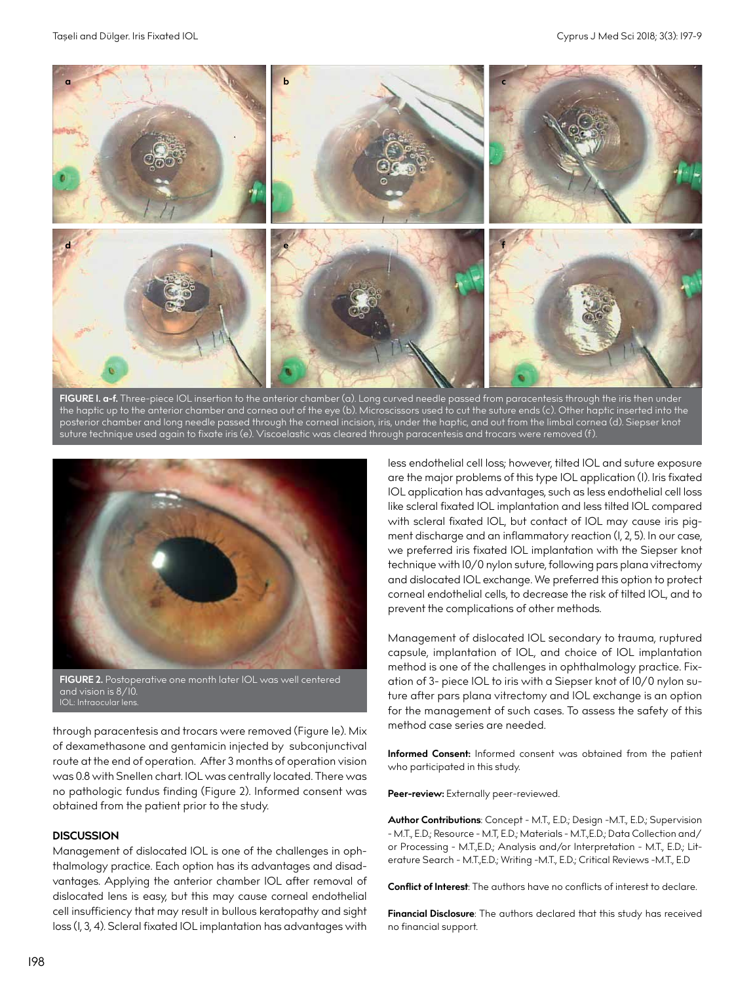

**FIGURE 1. a-f.** Three-piece IOL insertion to the anterior chamber (a). Long curved needle passed from paracentesis through the iris then under the haptic up to the anterior chamber and cornea out of the eye (b). Microscissors used to cut the suture ends (c). Other haptic inserted into the posterior chamber and long needle passed through the corneal incision, iris, under the haptic, and out from the limbal cornea (d). Siepser knot suture technique used again to fixate iris (e). Viscoelastic was cleared through paracentesis and trocars were removed (f).



through paracentesis and trocars were removed (Figure 1e). Mix of dexamethasone and gentamicin injected by subconjunctival route at the end of operation. After 3 months of operation vision was 0.8 with Snellen chart. IOL was centrally located. There was no pathologic fundus finding (Figure 2). Informed consent was obtained from the patient prior to the study.

### **DISCUSSION**

Management of dislocated IOL is one of the challenges in ophthalmology practice. Each option has its advantages and disadvantages. Applying the anterior chamber IOL after removal of dislocated lens is easy, but this may cause corneal endothelial cell insufficiency that may result in bullous keratopathy and sight loss (1, 3, 4). Scleral fixated IOL implantation has advantages with

less endothelial cell loss; however, tilted IOL and suture exposure are the major problems of this type IOL application (1). Iris fixated IOL application has advantages, such as less endothelial cell loss like scleral fixated IOL implantation and less tilted IOL compared with scleral fixated IOL, but contact of IOL may cause iris pigment discharge and an inflammatory reaction (1, 2, 5). In our case, we preferred iris fixated IOL implantation with the Siepser knot technique with 10/0 nylon suture, following pars plana vitrectomy and dislocated IOL exchange. We preferred this option to protect corneal endothelial cells, to decrease the risk of tilted IOL, and to prevent the complications of other methods.

Management of dislocated IOL secondary to trauma, ruptured capsule, implantation of IOL, and choice of IOL implantation method is one of the challenges in ophthalmology practice. Fixation of 3- piece IOL to iris with a Siepser knot of 10/0 nylon suture after pars plana vitrectomy and IOL exchange is an option for the management of such cases. To assess the safety of this method case series are needed.

**Informed Consent:** Informed consent was obtained from the patient who participated in this study.

Peer-review: Externally peer-reviewed.

**Author Contributions**: Concept - M.T., E.D.; Design -M.T., E.D.; Supervision - M.T., E.D.; Resource - M.T, E.D.; Materials - M.T.,E.D.; Data Collection and/ or Processing - M.T.,E.D.; Analysis and/or Interpretation - M.T., E.D.; Literature Search - M.T.,E.D.; Writing -M.T., E.D.; Critical Reviews -M.T., E.D

**Conflict of Interest**: The authors have no conflicts of interest to declare.

**Financial Disclosure**: The authors declared that this study has received no financial support.